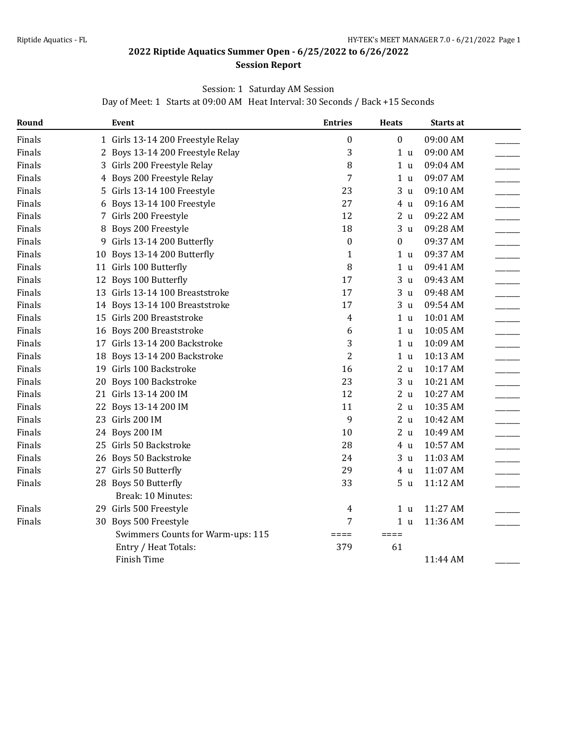#### **Session Report**

### Session: 1 Saturday AM Session

Day of Meet: 1 Starts at 09:00 AM Heat Interval: 30 Seconds / Back +15 Seconds

| Round  |    | Event                             | <b>Entries</b>   | <b>Heats</b>      | <b>Starts at</b> |
|--------|----|-----------------------------------|------------------|-------------------|------------------|
| Finals |    | 1 Girls 13-14 200 Freestyle Relay | 0                | $\boldsymbol{0}$  | 09:00 AM         |
| Finals |    | 2 Boys 13-14 200 Freestyle Relay  | 3                | 1 <sub>u</sub>    | 09:00 AM         |
| Finals |    | 3 Girls 200 Freestyle Relay       | 8                | 1 <sub>u</sub>    | 09:04 AM         |
| Finals |    | 4 Boys 200 Freestyle Relay        | 7                | 1 <sub>u</sub>    | 09:07 AM         |
| Finals | 5. | Girls 13-14 100 Freestyle         | 23               | 3 <sub>u</sub>    | 09:10 AM         |
| Finals | 6  | Boys 13-14 100 Freestyle          | 27               | 4 u               | 09:16 AM         |
| Finals |    | 7 Girls 200 Freestyle             | 12               | 2 <sub>u</sub>    | 09:22 AM         |
| Finals | 8  | Boys 200 Freestyle                | 18               | 3<br>$\mathbf{u}$ | 09:28 AM         |
| Finals | 9  | Girls 13-14 200 Butterfly         | $\boldsymbol{0}$ | $\mathbf{0}$      | 09:37 AM         |
| Finals | 10 | Boys 13-14 200 Butterfly          | $\mathbf{1}$     | 1 <sub>u</sub>    | 09:37 AM         |
| Finals |    | 11 Girls 100 Butterfly            | 8                | 1 <sub>u</sub>    | 09:41 AM         |
| Finals |    | 12 Boys 100 Butterfly             | 17               | 3 <sub>u</sub>    | 09:43 AM         |
| Finals |    | 13 Girls 13-14 100 Breaststroke   | 17               | 3 <sub>u</sub>    | 09:48 AM         |
| Finals |    | 14 Boys 13-14 100 Breaststroke    | 17               | 3 <sub>u</sub>    | 09:54 AM         |
| Finals |    | 15 Girls 200 Breaststroke         | 4                | 1 u               | 10:01 AM         |
| Finals |    | 16 Boys 200 Breaststroke          | 6                | 1 <sub>u</sub>    | 10:05 AM         |
| Finals |    | 17 Girls 13-14 200 Backstroke     | 3                | 1 <sub>u</sub>    | 10:09 AM         |
| Finals | 18 | Boys 13-14 200 Backstroke         | $\overline{c}$   | 1 <sub>u</sub>    | 10:13 AM         |
| Finals |    | 19 Girls 100 Backstroke           | 16               | 2 <sub>u</sub>    | 10:17 AM         |
| Finals | 20 | Boys 100 Backstroke               | 23               | 3 <sub>u</sub>    | 10:21 AM         |
| Finals |    | 21 Girls 13-14 200 IM             | 12               | 2 <sub>u</sub>    | 10:27 AM         |
| Finals |    | 22 Boys 13-14 200 IM              | 11               | 2 <sub>u</sub>    | 10:35 AM         |
| Finals |    | 23 Girls 200 IM                   | 9                | 2 <sub>u</sub>    | 10:42 AM         |
| Finals |    | 24 Boys 200 IM                    | 10               | 2 <sub>u</sub>    | 10:49 AM         |
| Finals |    | 25 Girls 50 Backstroke            | 28               | 4 u               | 10:57 AM         |
| Finals |    | 26 Boys 50 Backstroke             | 24               | 3 <sub>u</sub>    | 11:03 AM         |
| Finals |    | 27 Girls 50 Butterfly             | 29               | 4 u               | 11:07 AM         |
| Finals |    | 28 Boys 50 Butterfly              | 33               | 5 <sub>u</sub>    | 11:12 AM         |
|        |    | Break: 10 Minutes:                |                  |                   |                  |
| Finals |    | 29 Girls 500 Freestyle            | 4                | 1 u               | 11:27 AM         |
| Finals |    | 30 Boys 500 Freestyle             | 7                | 1 <sub>u</sub>    | 11:36 AM         |
|        |    | Swimmers Counts for Warm-ups: 115 | $=$ $=$ $=$ $=$  | $=$ $=$ $=$ $=$   |                  |
|        |    | Entry / Heat Totals:              | 379              | 61                |                  |
|        |    | Finish Time                       |                  |                   | 11:44 AM         |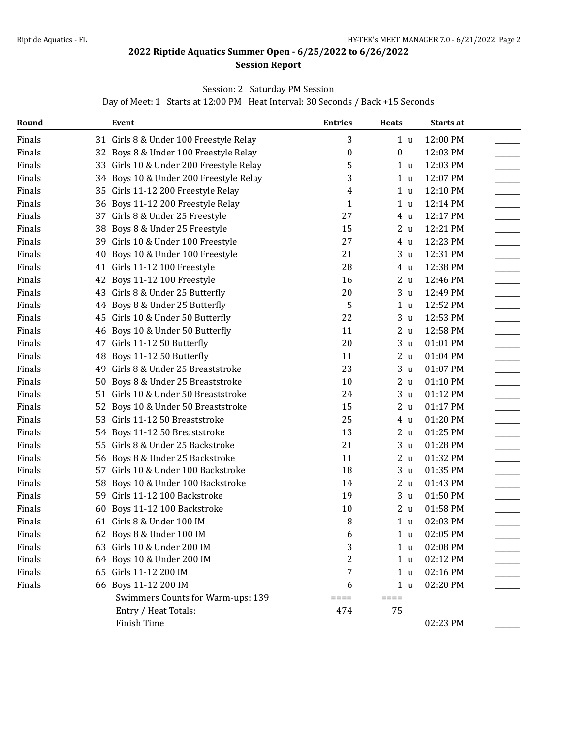### **Session Report**

### Session: 2 Saturday PM Session

Day of Meet: 1 Starts at 12:00 PM Heat Interval: 30 Seconds / Back +15 Seconds

| Round  |    | <b>Event</b>                            | <b>Entries</b> | <b>Heats</b>      | Starts at |  |
|--------|----|-----------------------------------------|----------------|-------------------|-----------|--|
| Finals |    | 31 Girls 8 & Under 100 Freestyle Relay  | 3              | 1 <sub>u</sub>    | 12:00 PM  |  |
| Finals |    | 32 Boys 8 & Under 100 Freestyle Relay   | 0              | $\boldsymbol{0}$  | 12:03 PM  |  |
| Finals |    | 33 Girls 10 & Under 200 Freestyle Relay | 5              | 1 <sub>u</sub>    | 12:03 PM  |  |
| Finals |    | 34 Boys 10 & Under 200 Freestyle Relay  | 3              | 1 <sub>u</sub>    | 12:07 PM  |  |
| Finals |    | 35 Girls 11-12 200 Freestyle Relay      | 4              | 1 <sub>u</sub>    | 12:10 PM  |  |
| Finals |    | 36 Boys 11-12 200 Freestyle Relay       | $\mathbf{1}$   | 1 <sub>u</sub>    | 12:14 PM  |  |
| Finals |    | 37 Girls 8 & Under 25 Freestyle         | 27             | 4 u               | 12:17 PM  |  |
| Finals |    | 38 Boys 8 & Under 25 Freestyle          | 15             | 2u                | 12:21 PM  |  |
| Finals |    | 39 Girls 10 & Under 100 Freestyle       | 27             | 4 u               | 12:23 PM  |  |
| Finals | 40 | Boys 10 & Under 100 Freestyle           | 21             | 3 <sub>u</sub>    | 12:31 PM  |  |
| Finals |    | 41 Girls 11-12 100 Freestyle            | 28             | 4 u               | 12:38 PM  |  |
| Finals |    | 42 Boys 11-12 100 Freestyle             | 16             | 2 <sub>u</sub>    | 12:46 PM  |  |
| Finals |    | 43 Girls 8 & Under 25 Butterfly         | 20             | 3 <sub>u</sub>    | 12:49 PM  |  |
| Finals |    | 44 Boys 8 & Under 25 Butterfly          | 5              | 1 <sub>u</sub>    | 12:52 PM  |  |
| Finals |    | 45 Girls 10 & Under 50 Butterfly        | 22             | 3 <sub>u</sub>    | 12:53 PM  |  |
| Finals |    | 46 Boys 10 & Under 50 Butterfly         | 11             | 2 <sub>u</sub>    | 12:58 PM  |  |
| Finals |    | 47 Girls 11-12 50 Butterfly             | 20             | 3<br>$\mathbf{u}$ | 01:01 PM  |  |
| Finals | 48 | Boys 11-12 50 Butterfly                 | 11             | 2 <sub>u</sub>    | 01:04 PM  |  |
| Finals | 49 | Girls 8 & Under 25 Breaststroke         | 23             | 3 <sub>u</sub>    | 01:07 PM  |  |
| Finals | 50 | Boys 8 & Under 25 Breaststroke          | 10             | 2 <sub>u</sub>    | 01:10 PM  |  |
| Finals |    | 51 Girls 10 & Under 50 Breaststroke     | 24             | 3<br>$\mathbf u$  | 01:12 PM  |  |
| Finals |    | 52 Boys 10 & Under 50 Breaststroke      | 15             | 2 <sub>u</sub>    | 01:17 PM  |  |
| Finals |    | 53 Girls 11-12 50 Breaststroke          | 25             | 4 u               | 01:20 PM  |  |
| Finals |    | 54 Boys 11-12 50 Breaststroke           | 13             | 2 <sub>u</sub>    | 01:25 PM  |  |
| Finals |    | 55 Girls 8 & Under 25 Backstroke        | 21             | 3 <sub>u</sub>    | 01:28 PM  |  |
| Finals |    | 56 Boys 8 & Under 25 Backstroke         | 11             | 2 <sub>u</sub>    | 01:32 PM  |  |
| Finals |    | 57 Girls 10 & Under 100 Backstroke      | 18             | 3 <sub>u</sub>    | 01:35 PM  |  |
| Finals | 58 | Boys 10 & Under 100 Backstroke          | 14             | 2 <sub>u</sub>    | 01:43 PM  |  |
| Finals |    | 59 Girls 11-12 100 Backstroke           | 19             | 3<br>$\mathbf u$  | 01:50 PM  |  |
| Finals | 60 | Boys 11-12 100 Backstroke               | 10             | 2 <sub>u</sub>    | 01:58 PM  |  |
| Finals |    | 61 Girls 8 & Under 100 IM               | 8              | 1 <sub>u</sub>    | 02:03 PM  |  |
| Finals |    | 62 Boys 8 & Under 100 IM                | 6              | 1 u               | 02:05 PM  |  |
| Finals |    | 63 Girls 10 & Under 200 IM              | 3              | 1 <sub>u</sub>    | 02:08 PM  |  |
| Finals |    | 64 Boys 10 & Under 200 IM               | 2              | 1 <sub>u</sub>    | 02:12 PM  |  |
| Finals |    | 65 Girls 11-12 200 IM                   | 7              | 1 <sub>u</sub>    | 02:16 PM  |  |
| Finals |    | 66 Boys 11-12 200 IM                    | 6              | 1 <sub>u</sub>    | 02:20 PM  |  |
|        |    | Swimmers Counts for Warm-ups: 139       | ====           | $====$            |           |  |
|        |    | Entry / Heat Totals:                    | 474            | 75                |           |  |
|        |    | Finish Time                             |                |                   | 02:23 PM  |  |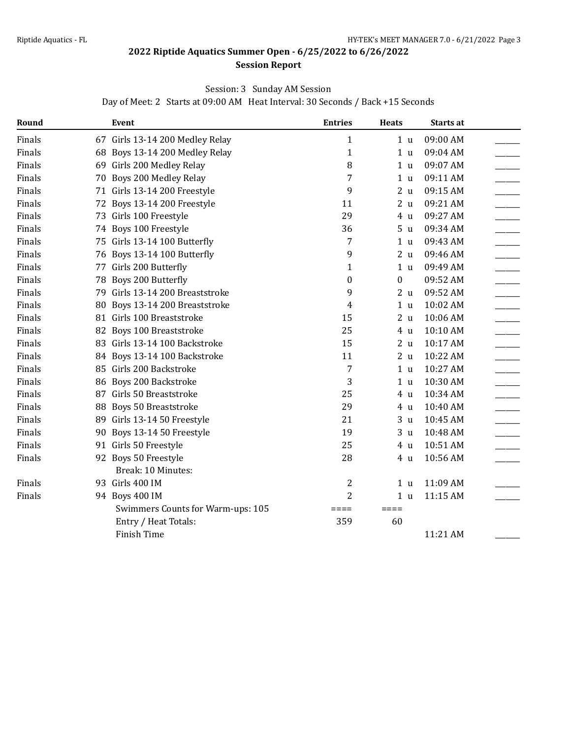### **Session Report**

### Session: 3 Sunday AM Session

Day of Meet: 2 Starts at 09:00 AM Heat Interval: 30 Seconds / Back +15 Seconds

| Round  |    | Event                             | <b>Entries</b>  | <b>Heats</b>    | <b>Starts at</b> |  |
|--------|----|-----------------------------------|-----------------|-----------------|------------------|--|
| Finals |    | 67 Girls 13-14 200 Medley Relay   | 1               | 1 <sub>u</sub>  | 09:00 AM         |  |
| Finals |    | 68 Boys 13-14 200 Medley Relay    | 1               | 1 <sub>u</sub>  | 09:04 AM         |  |
| Finals |    | 69 Girls 200 Medley Relay         | 8               | 1 <sub>u</sub>  | 09:07 AM         |  |
| Finals |    | 70 Boys 200 Medley Relay          | 7               | 1 u             | 09:11 AM         |  |
| Finals |    | 71 Girls 13-14 200 Freestyle      | 9               | 2 <sub>u</sub>  | 09:15 AM         |  |
| Finals |    | 72 Boys 13-14 200 Freestyle       | 11              | 2 <sub>u</sub>  | 09:21 AM         |  |
| Finals |    | 73 Girls 100 Freestyle            | 29              | 4 u             | 09:27 AM         |  |
| Finals |    | 74 Boys 100 Freestyle             | 36              | 5 <sub>u</sub>  | 09:34 AM         |  |
| Finals |    | 75 Girls 13-14 100 Butterfly      | 7               | 1 <sub>u</sub>  | 09:43 AM         |  |
| Finals |    | 76 Boys 13-14 100 Butterfly       | 9               | 2 <sub>u</sub>  | 09:46 AM         |  |
| Finals |    | 77 Girls 200 Butterfly            | 1               | 1 <sub>u</sub>  | 09:49 AM         |  |
| Finals |    | 78 Boys 200 Butterfly             | 0               | $\bf{0}$        | 09:52 AM         |  |
| Finals |    | 79 Girls 13-14 200 Breaststroke   | 9               | 2 <sub>u</sub>  | 09:52 AM         |  |
| Finals | 80 | Boys 13-14 200 Breaststroke       | 4               | 1 <sub>u</sub>  | 10:02 AM         |  |
| Finals |    | 81 Girls 100 Breaststroke         | 15              | 2 <sub>u</sub>  | 10:06 AM         |  |
| Finals |    | 82 Boys 100 Breaststroke          | 25              | 4 u             | 10:10 AM         |  |
| Finals |    | 83 Girls 13-14 100 Backstroke     | 15              | 2 <sub>u</sub>  | 10:17 AM         |  |
| Finals |    | 84 Boys 13-14 100 Backstroke      | 11              | 2 <sub>u</sub>  | 10:22 AM         |  |
| Finals |    | 85 Girls 200 Backstroke           | 7               | 1 <sub>u</sub>  | 10:27 AM         |  |
| Finals |    | 86 Boys 200 Backstroke            | 3               | 1 <sub>u</sub>  | 10:30 AM         |  |
| Finals |    | 87 Girls 50 Breaststroke          | 25              | 4 u             | 10:34 AM         |  |
| Finals | 88 | <b>Boys 50 Breaststroke</b>       | 29              | 4 u             | 10:40 AM         |  |
| Finals |    | 89 Girls 13-14 50 Freestyle       | 21              | 3 <sub>u</sub>  | 10:45 AM         |  |
| Finals |    | 90 Boys 13-14 50 Freestyle        | 19              | 3 <sub>u</sub>  | 10:48 AM         |  |
| Finals |    | 91 Girls 50 Freestyle             | 25              | 4 u             | 10:51 AM         |  |
| Finals |    | 92 Boys 50 Freestyle              | 28              | 4 <sub>u</sub>  | 10:56 AM         |  |
|        |    | Break: 10 Minutes:                |                 |                 |                  |  |
| Finals |    | 93 Girls 400 IM                   | 2               | 1 <sub>u</sub>  | 11:09 AM         |  |
| Finals |    | 94 Boys 400 IM                    | 2               | 1 <sub>u</sub>  | 11:15 AM         |  |
|        |    | Swimmers Counts for Warm-ups: 105 | $=$ $=$ $=$ $=$ | $=$ $=$ $=$ $=$ |                  |  |
|        |    | Entry / Heat Totals:              | 359             | 60              |                  |  |
|        |    | Finish Time                       |                 |                 | 11:21 AM         |  |